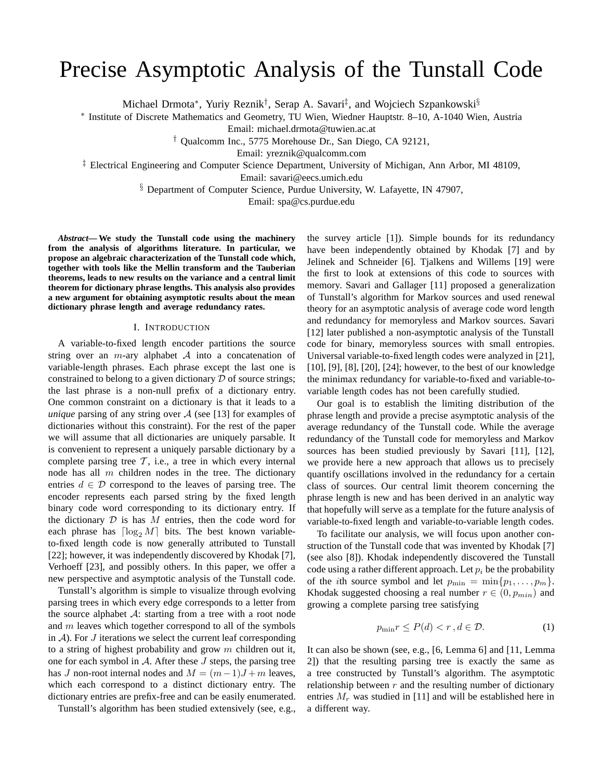# Precise Asymptotic Analysis of the Tunstall Code

Michael Drmota<sup>∗</sup>, Yuriy Reznik<sup>†</sup>, Serap A. Savari<sup>‡</sup>, and Wojciech Szpankowski<sup>§</sup>

∗ Institute of Discrete Mathematics and Geometry, TU Wien, Wiedner Hauptstr. 8–10, A-1040 Wien, Austria

Email: michael.drmota@tuwien.ac.at

† Qualcomm Inc., 5775 Morehouse Dr., San Diego, CA 92121,

Email: yreznik@qualcomm.com

‡ Electrical Engineering and Computer Science Department, University of Michigan, Ann Arbor, MI 48109,

Email: savari@eecs.umich.edu

§ Department of Computer Science, Purdue University, W. Lafayette, IN 47907,

Email: spa@cs.purdue.edu

*Abstract***— We study the Tunstall code using the machinery from the analysis of algorithms literature. In particular, we propose an algebraic characterization of the Tunstall code which, together with tools like the Mellin transform and the Tauberian theorems, leads to new results on the variance and a central limit theorem for dictionary phrase lengths. This analysis also provides a new argument for obtaining asymptotic results about the mean dictionary phrase length and average redundancy rates.**

## I. INTRODUCTION

A variable-to-fixed length encoder partitions the source string over an *m*-ary alphabet  $A$  into a concatenation of variable-length phrases. Each phrase except the last one is constrained to belong to a given dictionary  $D$  of source strings; the last phrase is a non-null prefix of a dictionary entry. One common constraint on a dictionary is that it leads to a *unique* parsing of any string over  $\mathcal A$  (see [13] for examples of dictionaries without this constraint). For the rest of the paper we will assume that all dictionaries are uniquely parsable. It is convenient to represent a uniquely parsable dictionary by a complete parsing tree  $\mathcal{T}$ , i.e., a tree in which every internal node has all  $m$  children nodes in the tree. The dictionary entries  $d \in \mathcal{D}$  correspond to the leaves of parsing tree. The encoder represents each parsed string by the fixed length binary code word corresponding to its dictionary entry. If the dictionary  $D$  is has  $M$  entries, then the code word for each phrase has  $\lceil \log_2 M \rceil$  bits. The best known variableto-fixed length code is now generally attributed to Tunstall [22]; however, it was independently discovered by Khodak [7], Verhoeff [23], and possibly others. In this paper, we offer a new perspective and asymptotic analysis of the Tunstall code.

Tunstall's algorithm is simple to visualize through evolving parsing trees in which every edge corresponds to a letter from the source alphabet  $A$ : starting from a tree with a root node and  $m$  leaves which together correspond to all of the symbols in  $A$ ). For  $J$  iterations we select the current leaf corresponding to a string of highest probability and grow  $m$  children out it, one for each symbol in  $A$ . After these J steps, the parsing tree has J non-root internal nodes and  $M = (m-1)J + m$  leaves, which each correspond to a distinct dictionary entry. The dictionary entries are prefix-free and can be easily enumerated.

Tunstall's algorithm has been studied extensively (see, e.g.,

the survey article [1]). Simple bounds for its redundancy have been independently obtained by Khodak [7] and by Jelinek and Schneider [6]. Tjalkens and Willems [19] were the first to look at extensions of this code to sources with memory. Savari and Gallager [11] proposed a generalization of Tunstall's algorithm for Markov sources and used renewal theory for an asymptotic analysis of average code word length and redundancy for memoryless and Markov sources. Savari [12] later published a non-asymptotic analysis of the Tunstall code for binary, memoryless sources with small entropies. Universal variable-to-fixed length codes were analyzed in [21], [10], [9], [8], [20], [24]; however, to the best of our knowledge the minimax redundancy for variable-to-fixed and variable-tovariable length codes has not been carefully studied.

Our goal is to establish the limiting distribution of the phrase length and provide a precise asymptotic analysis of the average redundancy of the Tunstall code. While the average redundancy of the Tunstall code for memoryless and Markov sources has been studied previously by Savari [11], [12], we provide here a new approach that allows us to precisely quantify oscillations involved in the redundancy for a certain class of sources. Our central limit theorem concerning the phrase length is new and has been derived in an analytic way that hopefully will serve as a template for the future analysis of variable-to-fixed length and variable-to-variable length codes.

To facilitate our analysis, we will focus upon another construction of the Tunstall code that was invented by Khodak [7] (see also [8]). Khodak independently discovered the Tunstall code using a rather different approach. Let  $p_i$  be the probability of the *i*th source symbol and let  $p_{\min} = \min\{p_1, \ldots, p_m\}.$ Khodak suggested choosing a real number  $r \in (0, p_{min})$  and growing a complete parsing tree satisfying

$$
p_{\min} r \le P(d) < r \,, d \in \mathcal{D}.\tag{1}
$$

It can also be shown (see, e.g., [6, Lemma 6] and [11, Lemma 2]) that the resulting parsing tree is exactly the same as a tree constructed by Tunstall's algorithm. The asymptotic relationship between  $r$  and the resulting number of dictionary entries  $M_r$  was studied in [11] and will be established here in a different way.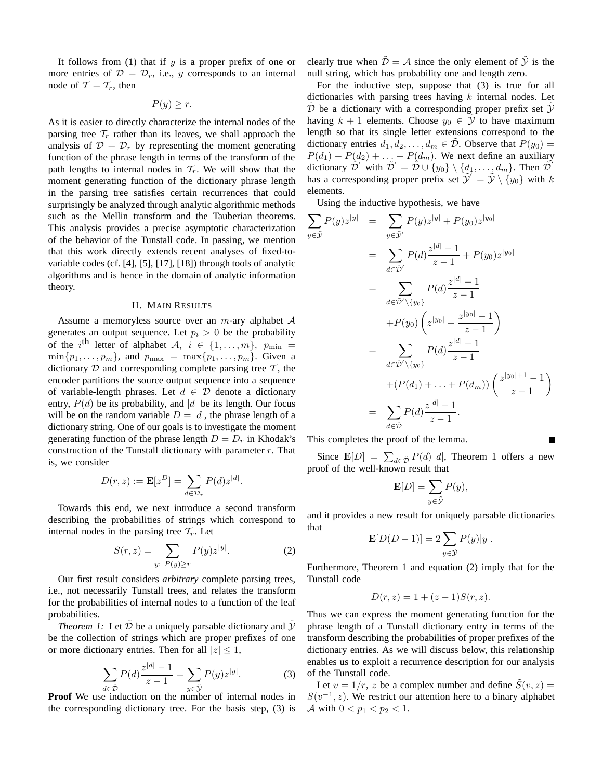It follows from (1) that if  $y$  is a proper prefix of one or more entries of  $\mathcal{D} = \mathcal{D}_r$ , i.e., y corresponds to an internal node of  $\mathcal{T} = \mathcal{T}_r$ , then

 $P(y) \geq r$ .

As it is easier to directly characterize the internal nodes of the parsing tree  $\mathcal{T}_r$  rather than its leaves, we shall approach the analysis of  $\mathcal{D} = \mathcal{D}_r$  by representing the moment generating function of the phrase length in terms of the transform of the path lengths to internal nodes in  $\mathcal{T}_r$ . We will show that the moment generating function of the dictionary phrase length in the parsing tree satisfies certain recurrences that could surprisingly be analyzed through analytic algorithmic methods such as the Mellin transform and the Tauberian theorems. This analysis provides a precise asymptotic characterization of the behavior of the Tunstall code. In passing, we mention that this work directly extends recent analyses of fixed-tovariable codes (cf. [4], [5], [17], [18]) through tools of analytic algorithms and is hence in the domain of analytic information theory.

## II. MAIN RESULTS

Assume a memoryless source over an  $m$ -ary alphabet  $A$ generates an output sequence. Let  $p_i > 0$  be the probability of the i<sup>th</sup> letter of alphabet  $A, i \in \{1, ..., m\}$ ,  $p_{\min} =$  $\min\{p_1,\ldots,p_m\}$ , and  $p_{\max} = \max\{p_1,\ldots,p_m\}$ . Given a dictionary  $D$  and corresponding complete parsing tree  $T$ , the encoder partitions the source output sequence into a sequence of variable-length phrases. Let  $d \in \mathcal{D}$  denote a dictionary entry,  $P(d)$  be its probability, and |d| be its length. Our focus will be on the random variable  $D = |d|$ , the phrase length of a dictionary string. One of our goals is to investigate the moment generating function of the phrase length  $D = D_r$  in Khodak's construction of the Tunstall dictionary with parameter  $r$ . That is, we consider

$$
D(r, z) := \mathbf{E}[z^D] = \sum_{d \in \mathcal{D}_r} P(d) z^{|d|}.
$$

Towards this end, we next introduce a second transform describing the probabilities of strings which correspond to internal nodes in the parsing tree  $T_r$ . Let

$$
S(r, z) = \sum_{y: P(y) \ge r} P(y) z^{|y|}.
$$
 (2)

Our first result considers *arbitrary* complete parsing trees, i.e., not necessarily Tunstall trees, and relates the transform for the probabilities of internal nodes to a function of the leaf probabilities.

*Theorem 1:* Let  $\overline{D}$  be a uniquely parsable dictionary and  $\overline{Y}$ be the collection of strings which are proper prefixes of one or more dictionary entries. Then for all  $|z| \leq 1$ ,

$$
\sum_{d \in \tilde{\mathcal{D}}} P(d) \frac{z^{|d|} - 1}{z - 1} = \sum_{y \in \tilde{\mathcal{Y}}} P(y) z^{|y|}.
$$
 (3)

**Proof** We use induction on the number of internal nodes in the corresponding dictionary tree. For the basis step, (3) is clearly true when  $\tilde{\mathcal{D}} = \mathcal{A}$  since the only element of  $\tilde{\mathcal{Y}}$  is the null string, which has probability one and length zero.

For the inductive step, suppose that (3) is true for all dictionaries with parsing trees having  $k$  internal nodes. Let  $D$  be a dictionary with a corresponding proper prefix set  $Y$ having  $k + 1$  elements. Choose  $y_0 \in \mathcal{Y}$  to have maximum length so that its single letter extensions correspond to the dictionary entries  $d_1, d_2, \ldots, d_m \in \mathcal{D}$ . Observe that  $P(y_0) =$  $P(d_1) + P(d_2) + \ldots + P(d_m)$ . We next define an auxiliary dictionary  $\tilde{\mathcal{D}}'$  with  $\tilde{\mathcal{D}}' = \tilde{\mathcal{D}} \cup \{y_0\} \setminus \{d_1,\ldots,d_m\}$ . Then  $\tilde{\mathcal{D}}'$ has a corresponding proper prefix set  $\tilde{\mathcal{Y}}' = \tilde{\mathcal{Y}} \setminus {\{y_0\}}$  with k elements.

Using the inductive hypothesis, we have

$$
\sum_{y \in \tilde{\mathcal{Y}}} P(y) z^{|y|} = \sum_{y \in \tilde{\mathcal{Y}}'} P(y) z^{|y|} + P(y_0) z^{|y_0|}
$$
  
\n
$$
= \sum_{d \in \tilde{\mathcal{D}}'} P(d) \frac{z^{|d|} - 1}{z - 1} + P(y_0) z^{|y_0|}
$$
  
\n
$$
= \sum_{d \in \tilde{\mathcal{D}}' \setminus \{y_0\}} P(d) \frac{z^{|d|} - 1}{z - 1}
$$
  
\n
$$
+ P(y_0) \left( z^{|y_0|} + \frac{z^{|y_0|} - 1}{z - 1} \right)
$$
  
\n
$$
= \sum_{d \in \tilde{\mathcal{D}}' \setminus \{y_0\}} P(d) \frac{z^{|d|} - 1}{z - 1}
$$
  
\n
$$
+ (P(d_1) + \dots + P(d_m)) \left( \frac{z^{|y_0| + 1} - 1}{z - 1} \right)
$$
  
\n
$$
= \sum_{d \in \tilde{\mathcal{D}}} P(d) \frac{z^{|d|} - 1}{z - 1}.
$$

This completes the proof of the lemma.

Since  $\mathbf{E}[D] = \sum_{d \in \tilde{\mathcal{D}}} P(d) |d|$ , Theorem 1 offers a new proof of the well-known result that

Г

$$
\mathbf{E}[D] = \sum_{y \in \tilde{\mathcal{Y}}} P(y),
$$

and it provides a new result for uniquely parsable dictionaries that

$$
\mathbf{E}[D(D-1)] = 2\sum_{y \in \tilde{\mathcal{Y}}} P(y)|y|.
$$

Furthermore, Theorem 1 and equation (2) imply that for the Tunstall code

$$
D(r, z) = 1 + (z - 1)S(r, z).
$$

Thus we can express the moment generating function for the phrase length of a Tunstall dictionary entry in terms of the transform describing the probabilities of proper prefixes of the dictionary entries. As we will discuss below, this relationship enables us to exploit a recurrence description for our analysis of the Tunstall code.

Let  $v = 1/r$ , z be a complex number and define  $S(v, z) =$  $S(v^{-1}, z)$ . We restrict our attention here to a binary alphabet *A* with  $0 < p_1 < p_2 < 1$ .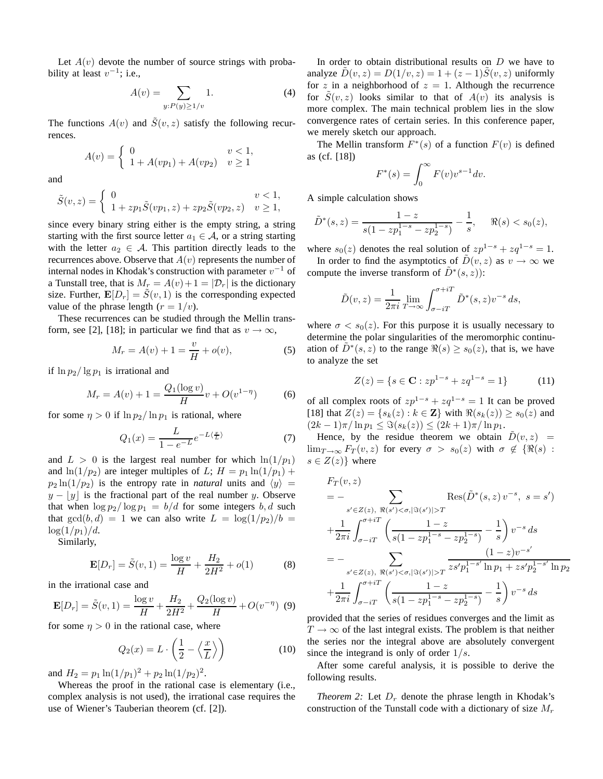Let  $A(v)$  devote the number of source strings with probability at least  $v^{-1}$ ; i.e.,

$$
A(v) = \sum_{y:P(y)\ge 1/v} 1.
$$
 (4)

The functions  $A(v)$  and  $\tilde{S}(v, z)$  satisfy the following recurrences.

$$
A(v) = \begin{cases} 0 & v < 1, \\ 1 + A(vp_1) + A(vp_2) & v \ge 1 \end{cases}
$$

and

$$
\tilde{S}(v,z) = \begin{cases}\n0 & v < 1, \\
1 + zp_1 \tilde{S}(vp_1, z) + zp_2 \tilde{S}(vp_2, z) & v \ge 1,\n\end{cases}
$$

since every binary string either is the empty string, a string starting with the first source letter  $a_1 \in \mathcal{A}$ , or a string starting with the letter  $a_2 \in \mathcal{A}$ . This partition directly leads to the recurrences above. Observe that  $A(v)$  represents the number of internal nodes in Khodak's construction with parameter  $v^{-1}$  of a Tunstall tree, that is  $M_r = A(v) + 1 = |\mathcal{D}_r|$  is the dictionary size. Further,  $\mathbf{E}[D_r] = \tilde{S}(v, 1)$  is the corresponding expected value of the phrase length  $(r = 1/v)$ .

These recurrences can be studied through the Mellin transform, see [2], [18]; in particular we find that as  $v \to \infty$ ,

$$
M_r = A(v) + 1 = \frac{v}{H} + o(v),
$$
 (5)

if  $\ln p_2 / \lg p_1$  is irrational and

$$
M_r = A(v) + 1 = \frac{Q_1(\log v)}{H}v + O(v^{1-\eta})
$$
 (6)

for some  $\eta > 0$  if  $\ln p_2 / \ln p_1$  is rational, where

$$
Q_1(x) = \frac{L}{1 - e^{-L}} e^{-L\langle \frac{x}{L} \rangle} \tag{7}
$$

and  $L > 0$  is the largest real number for which  $\ln(1/p_1)$ and  $\ln(1/p_2)$  are integer multiples of L;  $H = p_1 \ln(1/p_1) +$  $p_2 \ln(1/p_2)$  is the entropy rate in *natural* units and  $\langle y \rangle$  =  $y - |y|$  is the fractional part of the real number y. Observe that when  $\log p_2 / \log p_1 = b/d$  for some integers b, d such that  $gcd(b, d) = 1$  we can also write  $L = log(1/p_2)/b$  =  $\log(1/p_1)/d$ .

Similarly,

$$
\mathbf{E}[D_r] = \tilde{S}(v, 1) = \frac{\log v}{H} + \frac{H_2}{2H^2} + o(1)
$$
 (8)

in the irrational case and

$$
\mathbf{E}[D_r] = \tilde{S}(v, 1) = \frac{\log v}{H} + \frac{H_2}{2H^2} + \frac{Q_2(\log v)}{H} + O(v^{-\eta}) \tag{9}
$$

for some  $\eta > 0$  in the rational case, where

$$
Q_2(x) = L \cdot \left(\frac{1}{2} - \left\langle \frac{x}{L} \right\rangle\right) \tag{10}
$$

and  $H_2 = p_1 \ln(1/p_1)^2 + p_2 \ln(1/p_2)^2$ .

Whereas the proof in the rational case is elementary (i.e., complex analysis is not used), the irrational case requires the use of Wiener's Tauberian theorem (cf. [2]).

In order to obtain distributional results on  $D$  we have to analyze  $D(v, z) = D(1/v, z) = 1 + (z - 1)S(v, z)$  uniformly for z in a neighborhood of  $z = 1$ . Although the recurrence for  $S(v, z)$  looks similar to that of  $A(v)$  its analysis is more complex. The main technical problem lies in the slow convergence rates of certain series. In this conference paper, we merely sketch our approach.

The Mellin transform  $F^*(s)$  of a function  $F(v)$  is defined as (cf. [18])

$$
F^*(s) = \int_0^\infty F(v)v^{s-1}dv.
$$

A simple calculation shows

 $\mathbb{Z}^{\mathbb{Z}^2}$ 

$$
\tilde{D}^*(s, z) = \frac{1-z}{s(1-zp_1^{1-s} - zp_2^{1-s})} - \frac{1}{s}, \quad \Re(s) < s_0(z),
$$

where  $s_0(z)$  denotes the real solution of  $zp^{1-s} + zq^{1-s} = 1$ . In order to find the asymptotics of  $\tilde{D}(v, z)$  as  $v \to \infty$  we

compute the inverse transform of  $D^*(s, z)$ :

$$
\tilde{D}(v, z) = \frac{1}{2\pi i} \lim_{T \to \infty} \int_{\sigma - iT}^{\sigma + iT} \tilde{D}^*(s, z) v^{-s} ds,
$$

where  $\sigma < s_0(z)$ . For this purpose it is usually necessary to determine the polar singularities of the meromorphic continuation of  $D^*(s, z)$  to the range  $\Re(s) \geq s_0(z)$ , that is, we have to analyze the set

$$
Z(z) = \{ s \in \mathbf{C} : z p^{1-s} + z q^{1-s} = 1 \}
$$
 (11)

of all complex roots of  $zp^{1-s} + zq^{1-s} = 1$  It can be proved [18] that  $Z(z) = \{s_k(z) : k \in \mathbb{Z}\}\$  with  $\Re(s_k(z)) \geq s_0(z)$  and  $(2k-1)\pi/\ln p_1 \leq \Im(s_k(z)) \leq (2k+1)\pi/\ln p_1.$ 

Hence, by the residue theorem we obtain  $\tilde{D}(v, z)$  =  $\lim_{T\to\infty}F_T(v,z)$  for every  $\sigma>s_0(z)$  with  $\sigma \notin \{ \Re(s) :$  $s \in Z(z)$ } where

$$
F_T(v, z)
$$
  
=  $-\sum_{s' \in Z(z), \Re(s') < \sigma, |\Im(s')| > T} \text{Res}(\tilde{D}^*(s, z) v^{-s}, s = s')$   
+  $\frac{1}{2\pi i} \int_{\sigma - iT}^{\sigma + iT} \left( \frac{1 - z}{s(1 - zp_1^{1 - s} - zp_2^{1 - s})} - \frac{1}{s} \right) v^{-s} ds$   
=  $-\sum_{s' \in Z(z), \Re(s') < \sigma, |\Im(s')| > T} \frac{(1 - z)v^{-s'}}{zs'p_1^{1 - s'} \ln p_1 + zs'p_2^{1 - s'} \ln p_2}$   
+  $\frac{1}{2\pi i} \int_{\sigma - iT}^{\sigma + iT} \left( \frac{1 - z}{s(1 - zp_1^{1 - s} - zp_2^{1 - s})} - \frac{1}{s} \right) v^{-s} ds$ 

provided that the series of residues converges and the limit as  $T \rightarrow \infty$  of the last integral exists. The problem is that neither the series nor the integral above are absolutely convergent since the integrand is only of order  $1/s$ .

After some careful analysis, it is possible to derive the following results.

*Theorem 2:* Let  $D_r$  denote the phrase length in Khodak's construction of the Tunstall code with a dictionary of size  $M_r$